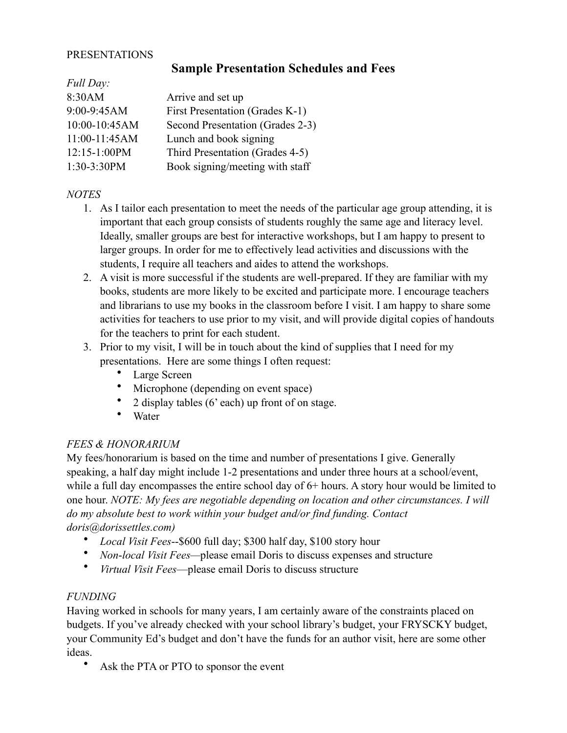### PRESENTATIONS

# **Sample Presentation Schedules and Fees**

| Full Day:      |                                  |
|----------------|----------------------------------|
| 8:30AM         | Arrive and set up                |
| 9:00-9:45AM    | First Presentation (Grades K-1)  |
| 10:00-10:45AM  | Second Presentation (Grades 2-3) |
| 11:00-11:45AM  | Lunch and book signing           |
| $12:15-1:00PM$ | Third Presentation (Grades 4-5)  |
| 1:30-3:30PM    | Book signing/meeting with staff  |
|                |                                  |

### *NOTES*

*Full Day:*

- 1. As I tailor each presentation to meet the needs of the particular age group attending, it is important that each group consists of students roughly the same age and literacy level. Ideally, smaller groups are best for interactive workshops, but I am happy to present to larger groups. In order for me to effectively lead activities and discussions with the students, I require all teachers and aides to attend the workshops.
- 2. A visit is more successful if the students are well-prepared. If they are familiar with my books, students are more likely to be excited and participate more. I encourage teachers and librarians to use my books in the classroom before I visit. I am happy to share some activities for teachers to use prior to my visit, and will provide digital copies of handouts for the teachers to print for each student.
- 3. Prior to my visit, I will be in touch about the kind of supplies that I need for my presentations. Here are some things I often request:
	- Large Screen
	- Microphone (depending on event space)
	- 2 display tables (6' each) up front of on stage.
	- Water

# *FEES & HONORARIUM*

My fees/honorarium is based on the time and number of presentations I give. Generally speaking, a half day might include 1-2 presentations and under three hours at a school/event, while a full day encompasses the entire school day of  $6+$  hours. A story hour would be limited to one hour. *NOTE: My fees are negotiable depending on location and other circumstances. I will do my absolute best to work within your budget and/or find funding. Contact doris@dorissettles.com)*

- *Local Visit Fees*--\$600 full day; \$300 half day, \$100 story hour
- *Non*-*local Visit Fees—*please email Doris to discuss expenses and structure
- *Virtual Visit Fees*—please email Doris to discuss structure

### *FUNDING*

Having worked in schools for many years, I am certainly aware of the constraints placed on budgets. If you've already checked with your school library's budget, your FRYSCKY budget, your Community Ed's budget and don't have the funds for an author visit, here are some other ideas.

Ask the PTA or PTO to sponsor the event